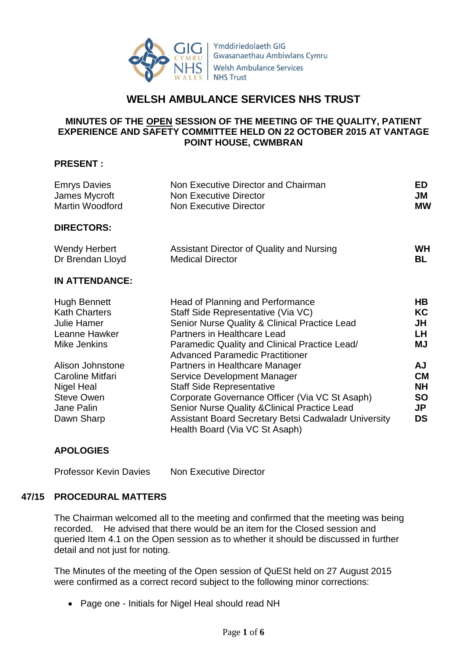

Ymddiriedolaeth GIG Gwasanaethau Ambiwlans Cymru **Welsh Ambulance Services NHS Trust** 

# **WELSH AMBULANCE SERVICES NHS TRUST**

## **MINUTES OF THE OPEN SESSION OF THE MEETING OF THE QUALITY, PATIENT EXPERIENCE AND SAFETY COMMITTEE HELD ON 22 OCTOBER 2015 AT VANTAGE POINT HOUSE, CWMBRAN**

#### **PRESENT :**

| <b>Emrys Davies</b><br>James Mycroft<br>Martin Woodford | Non Executive Director and Chairman<br><b>Non Executive Director</b><br><b>Non Executive Director</b> | <b>ED</b><br>JM<br><b>MW</b> |
|---------------------------------------------------------|-------------------------------------------------------------------------------------------------------|------------------------------|
| <b>DIRECTORS:</b>                                       |                                                                                                       |                              |
| <b>Wendy Herbert</b><br>Dr Brendan Lloyd                | Assistant Director of Quality and Nursing<br><b>Medical Director</b>                                  | <b>WH</b><br>BL              |
| <b>IN ATTENDANCE:</b>                                   |                                                                                                       |                              |
| <b>Hugh Bennett</b>                                     | Head of Planning and Performance                                                                      | HB                           |
| <b>Kath Charters</b>                                    | Staff Side Representative (Via VC)                                                                    | KC                           |
| <b>Julie Hamer</b>                                      | Senior Nurse Quality & Clinical Practice Lead                                                         | JH                           |
| Leanne Hawker                                           | Partners in Healthcare Lead                                                                           | LH.                          |
| Mike Jenkins                                            | Paramedic Quality and Clinical Practice Lead/<br><b>Advanced Paramedic Practitioner</b>               | ΜJ                           |
| Alison Johnstone                                        | Partners in Healthcare Manager                                                                        | AJ                           |
| Caroline Mitfari                                        | Service Development Manager                                                                           | <b>CM</b>                    |
| Nigel Heal                                              | <b>Staff Side Representative</b>                                                                      | NΗ                           |
| <b>Steve Owen</b>                                       | Corporate Governance Officer (Via VC St Asaph)                                                        | <b>SO</b>                    |
| Jane Palin                                              | <b>Senior Nurse Quality &amp; Clinical Practice Lead</b>                                              | JP                           |
| Dawn Sharp                                              | Assistant Board Secretary Betsi Cadwaladr University<br>Health Board (Via VC St Asaph)                | <b>DS</b>                    |
|                                                         |                                                                                                       |                              |

## **APOLOGIES**

Professor Kevin Davies Non Executive Director

## **47/15 PROCEDURAL MATTERS**

The Chairman welcomed all to the meeting and confirmed that the meeting was being recorded. He advised that there would be an item for the Closed session and queried Item 4.1 on the Open session as to whether it should be discussed in further detail and not just for noting.

The Minutes of the meeting of the Open session of QuESt held on 27 August 2015 were confirmed as a correct record subject to the following minor corrections:

• Page one - Initials for Nigel Heal should read NH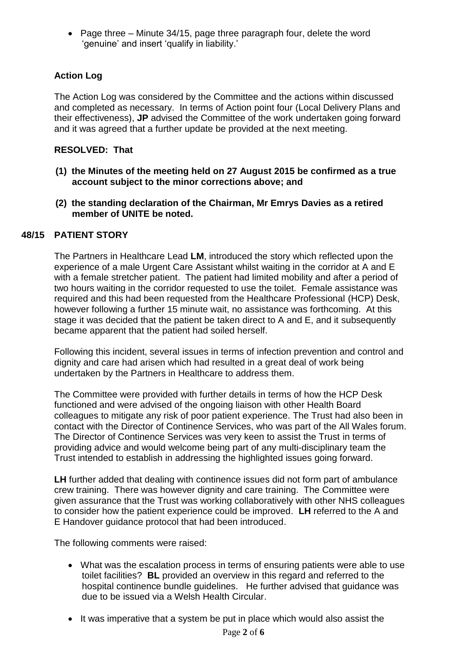• Page three – Minute 34/15, page three paragraph four, delete the word 'genuine' and insert 'qualify in liability.'

## **Action Log**

The Action Log was considered by the Committee and the actions within discussed and completed as necessary. In terms of Action point four (Local Delivery Plans and their effectiveness), **JP** advised the Committee of the work undertaken going forward and it was agreed that a further update be provided at the next meeting.

## **RESOLVED: That**

- **(1) the Minutes of the meeting held on 27 August 2015 be confirmed as a true account subject to the minor corrections above; and**
- **(2) the standing declaration of the Chairman, Mr Emrys Davies as a retired member of UNITE be noted.**

## **48/15 PATIENT STORY**

The Partners in Healthcare Lead **LM**, introduced the story which reflected upon the experience of a male Urgent Care Assistant whilst waiting in the corridor at A and E with a female stretcher patient. The patient had limited mobility and after a period of two hours waiting in the corridor requested to use the toilet. Female assistance was required and this had been requested from the Healthcare Professional (HCP) Desk, however following a further 15 minute wait, no assistance was forthcoming. At this stage it was decided that the patient be taken direct to A and E, and it subsequently became apparent that the patient had soiled herself.

Following this incident, several issues in terms of infection prevention and control and dignity and care had arisen which had resulted in a great deal of work being undertaken by the Partners in Healthcare to address them.

The Committee were provided with further details in terms of how the HCP Desk functioned and were advised of the ongoing liaison with other Health Board colleagues to mitigate any risk of poor patient experience. The Trust had also been in contact with the Director of Continence Services, who was part of the All Wales forum. The Director of Continence Services was very keen to assist the Trust in terms of providing advice and would welcome being part of any multi-disciplinary team the Trust intended to establish in addressing the highlighted issues going forward.

**LH** further added that dealing with continence issues did not form part of ambulance crew training. There was however dignity and care training. The Committee were given assurance that the Trust was working collaboratively with other NHS colleagues to consider how the patient experience could be improved. **LH** referred to the A and E Handover guidance protocol that had been introduced.

The following comments were raised:

- What was the escalation process in terms of ensuring patients were able to use toilet facilities? **BL** provided an overview in this regard and referred to the hospital continence bundle guidelines. He further advised that guidance was due to be issued via a Welsh Health Circular.
- It was imperative that a system be put in place which would also assist the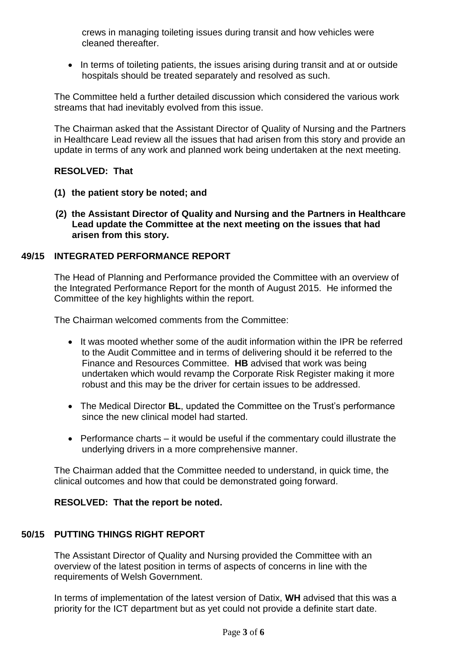crews in managing toileting issues during transit and how vehicles were cleaned thereafter.

• In terms of toileting patients, the issues arising during transit and at or outside hospitals should be treated separately and resolved as such.

The Committee held a further detailed discussion which considered the various work streams that had inevitably evolved from this issue.

The Chairman asked that the Assistant Director of Quality of Nursing and the Partners in Healthcare Lead review all the issues that had arisen from this story and provide an update in terms of any work and planned work being undertaken at the next meeting.

## **RESOLVED: That**

- **(1) the patient story be noted; and**
- **(2) the Assistant Director of Quality and Nursing and the Partners in Healthcare Lead update the Committee at the next meeting on the issues that had arisen from this story.**

### **49/15 INTEGRATED PERFORMANCE REPORT**

The Head of Planning and Performance provided the Committee with an overview of the Integrated Performance Report for the month of August 2015. He informed the Committee of the key highlights within the report.

The Chairman welcomed comments from the Committee:

- It was mooted whether some of the audit information within the IPR be referred to the Audit Committee and in terms of delivering should it be referred to the Finance and Resources Committee. **HB** advised that work was being undertaken which would revamp the Corporate Risk Register making it more robust and this may be the driver for certain issues to be addressed.
- The Medical Director **BL**, updated the Committee on the Trust's performance since the new clinical model had started.
- Performance charts it would be useful if the commentary could illustrate the underlying drivers in a more comprehensive manner.

The Chairman added that the Committee needed to understand, in quick time, the clinical outcomes and how that could be demonstrated going forward.

#### **RESOLVED: That the report be noted.**

### **50/15 PUTTING THINGS RIGHT REPORT**

The Assistant Director of Quality and Nursing provided the Committee with an overview of the latest position in terms of aspects of concerns in line with the requirements of Welsh Government.

In terms of implementation of the latest version of Datix, **WH** advised that this was a priority for the ICT department but as yet could not provide a definite start date.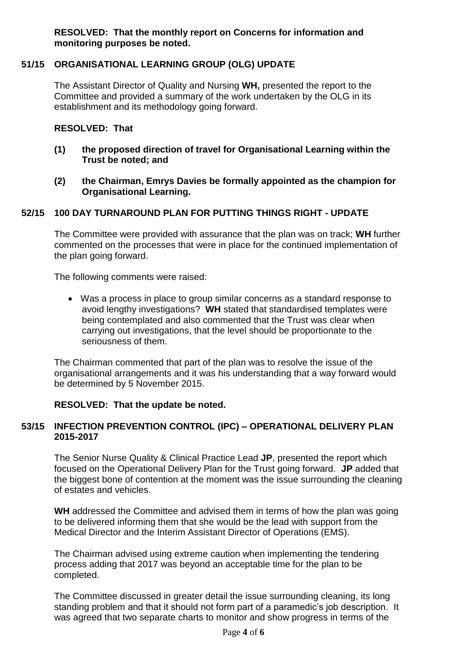**RESOLVED: That the monthly report on Concerns for information and monitoring purposes be noted.**

### **51/15 ORGANISATIONAL LEARNING GROUP (OLG) UPDATE**

The Assistant Director of Quality and Nursing **WH,** presented the report to the Committee and provided a summary of the work undertaken by the OLG in its establishment and its methodology going forward.

#### **RESOLVED: That**

- **(1) the proposed direction of travel for Organisational Learning within the Trust be noted; and**
- **(2) the Chairman, Emrys Davies be formally appointed as the champion for Organisational Learning.**

#### **52/15 100 DAY TURNAROUND PLAN FOR PUTTING THINGS RIGHT - UPDATE**

The Committee were provided with assurance that the plan was on track; **WH** further commented on the processes that were in place for the continued implementation of the plan going forward.

The following comments were raised:

 Was a process in place to group similar concerns as a standard response to avoid lengthy investigations? **WH** stated that standardised templates were being contemplated and also commented that the Trust was clear when carrying out investigations, that the level should be proportionate to the seriousness of them.

The Chairman commented that part of the plan was to resolve the issue of the organisational arrangements and it was his understanding that a way forward would be determined by 5 November 2015.

#### **RESOLVED: That the update be noted.**

### **53/15 INFECTION PREVENTION CONTROL (IPC) – OPERATIONAL DELIVERY PLAN 2015-2017**

The Senior Nurse Quality & Clinical Practice Lead **JP**, presented the report which focused on the Operational Delivery Plan for the Trust going forward. **JP** added that the biggest bone of contention at the moment was the issue surrounding the cleaning of estates and vehicles.

**WH** addressed the Committee and advised them in terms of how the plan was going to be delivered informing them that she would be the lead with support from the Medical Director and the Interim Assistant Director of Operations (EMS).

The Chairman advised using extreme caution when implementing the tendering process adding that 2017 was beyond an acceptable time for the plan to be completed.

The Committee discussed in greater detail the issue surrounding cleaning, its long standing problem and that it should not form part of a paramedic's job description. It was agreed that two separate charts to monitor and show progress in terms of the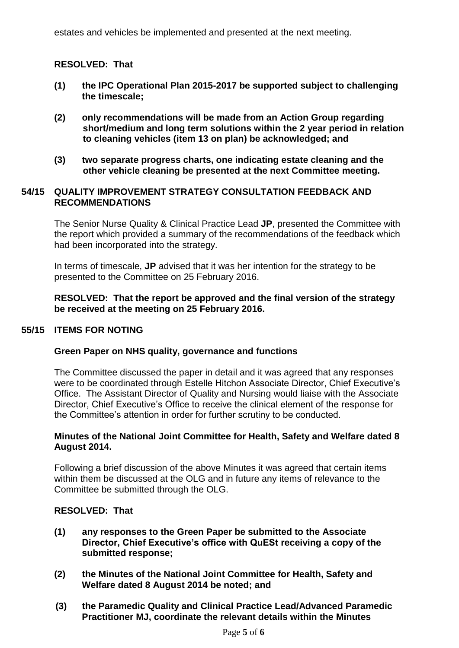estates and vehicles be implemented and presented at the next meeting.

#### **RESOLVED: That**

- **(1) the IPC Operational Plan 2015-2017 be supported subject to challenging the timescale;**
- **(2) only recommendations will be made from an Action Group regarding short/medium and long term solutions within the 2 year period in relation to cleaning vehicles (item 13 on plan) be acknowledged; and**
- **(3) two separate progress charts, one indicating estate cleaning and the other vehicle cleaning be presented at the next Committee meeting.**

#### **54/15 QUALITY IMPROVEMENT STRATEGY CONSULTATION FEEDBACK AND RECOMMENDATIONS**

The Senior Nurse Quality & Clinical Practice Lead **JP**, presented the Committee with the report which provided a summary of the recommendations of the feedback which had been incorporated into the strategy.

In terms of timescale, **JP** advised that it was her intention for the strategy to be presented to the Committee on 25 February 2016.

**RESOLVED: That the report be approved and the final version of the strategy be received at the meeting on 25 February 2016.**

#### **55/15 ITEMS FOR NOTING**

#### **Green Paper on NHS quality, governance and functions**

The Committee discussed the paper in detail and it was agreed that any responses were to be coordinated through Estelle Hitchon Associate Director, Chief Executive's Office. The Assistant Director of Quality and Nursing would liaise with the Associate Director, Chief Executive's Office to receive the clinical element of the response for the Committee's attention in order for further scrutiny to be conducted.

#### **Minutes of the National Joint Committee for Health, Safety and Welfare dated 8 August 2014.**

Following a brief discussion of the above Minutes it was agreed that certain items within them be discussed at the OLG and in future any items of relevance to the Committee be submitted through the OLG.

#### **RESOLVED: That**

- **(1) any responses to the Green Paper be submitted to the Associate Director, Chief Executive's office with QuESt receiving a copy of the submitted response;**
- **(2) the Minutes of the National Joint Committee for Health, Safety and Welfare dated 8 August 2014 be noted; and**
- **(3) the Paramedic Quality and Clinical Practice Lead/Advanced Paramedic Practitioner MJ, coordinate the relevant details within the Minutes**